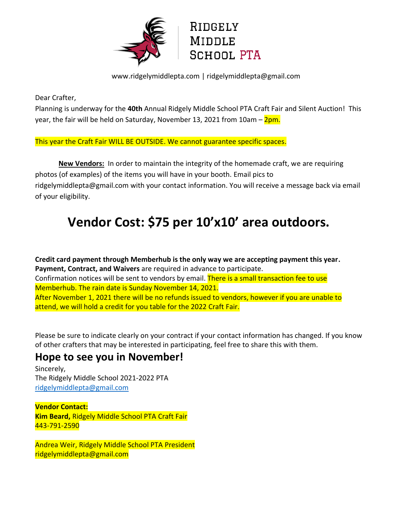

www.ridgelymiddlepta.com | ridgelymiddlepta@gmail.com

Dear Crafter,

Planning is underway for the **40th** Annual Ridgely Middle School PTA Craft Fair and Silent Auction! This year, the fair will be held on Saturday, November 13, 2021 from 10am – 2pm.

This year the Craft Fair WILL BE OUTSIDE. We cannot guarantee specific spaces.

**New Vendors:** In order to maintain the integrity of the homemade craft, we are requiring photos (of examples) of the items you will have in your booth. Email pics to ridgelymiddlepta@gmail.com with your contact information. You will receive a message back via email of your eligibility.

# **Vendor Cost: \$75 per 10'x10' area outdoors.**

**Credit card payment through Memberhub is the only way we are accepting payment this year. Payment, Contract, and Waivers** are required in advance to participate. Confirmation notices will be sent to vendors by email. There is a small transaction fee to use Memberhub. The rain date is Sunday November 14, 2021. After November 1, 2021 there will be no refunds issued to vendors, however if you are unable to attend, we will hold a credit for you table for the 2022 Craft Fair.

Please be sure to indicate clearly on your contract if your contact information has changed. If you know of other crafters that may be interested in participating, feel free to share this with them.

## **Hope to see you in November!**

Sincerely, The Ridgely Middle School 2021-2022 PTA [ridgelymiddlepta@gmail.com](mailto:ridgelymiddlepta@gmail.com)

**Vendor Contact: Kim Beard,** Ridgely Middle School PTA Craft Fair 443-791-2590

Andrea Weir, Ridgely Middle School PTA President ridgelymiddlepta@gmail.com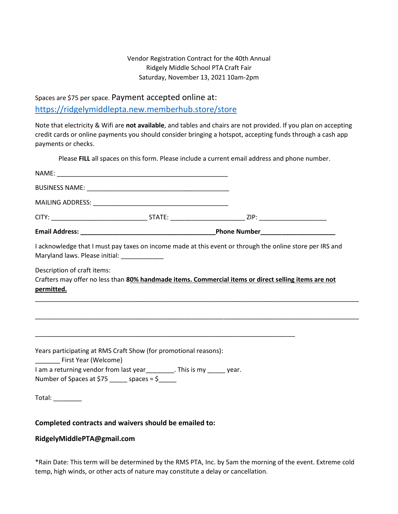#### Vendor Registration Contract for the 40th Annual Ridgely Middle School PTA Craft Fair Saturday, November 13, 2021 10am-2pm

Spaces are \$75 per space. Payment accepted online at: <https://ridgelymiddlepta.new.memberhub.store/store>

Note that electricity & Wifi are **not available**, and tables and chairs are not provided. If you plan on accepting credit cards or online payments you should consider bringing a hotspot, accepting funds through a cash app payments or checks.

Please **FILL** all spaces on this form. Please include a current email address and phone number.

| I acknowledge that I must pay taxes on income made at this event or through the online store per IRS and<br>Maryland laws. Please initial: _____________ |  |  |
|----------------------------------------------------------------------------------------------------------------------------------------------------------|--|--|
| Description of craft items:<br>Crafters may offer no less than 80% handmade items. Commercial items or direct selling items are not<br>permitted.        |  |  |
|                                                                                                                                                          |  |  |
| Years participating at RMS Craft Show (for promotional reasons):<br>First Year (Welcome)                                                                 |  |  |
| I am a returning vendor from last year<br><u>Learnely</u> Ensists any Learnely year.<br>Number of Spaces at \$75 ______ spaces = \$                      |  |  |
|                                                                                                                                                          |  |  |

#### **Completed contracts and waivers should be emailed to:**

#### **RidgelyMiddlePTA@gmail.com**

\*Rain Date: This term will be determined by the RMS PTA, Inc. by 5am the morning of the event. Extreme cold temp, high winds, or other acts of nature may constitute a delay or cancellation.